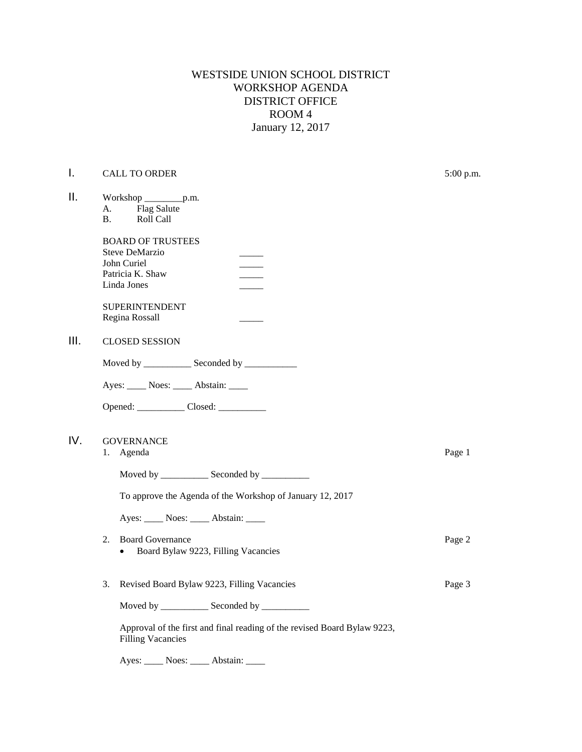WESTSIDE UNION SCHOOL DISTRICT WORKSHOP AGENDA DISTRICT OFFICE ROOM 4 January 12, 2017

## **I.** CALL TO ORDER 5:00 p.m.

| П.  | Workshop ____________p.m.<br>Flag Salute<br>A.<br>Roll Call<br><b>B.</b>                             |        |
|-----|------------------------------------------------------------------------------------------------------|--------|
|     | <b>BOARD OF TRUSTEES</b><br><b>Steve DeMarzio</b><br>John Curiel<br>Patricia K. Shaw<br>Linda Jones  |        |
|     | <b>SUPERINTENDENT</b><br>Regina Rossall                                                              |        |
| Ш.  | <b>CLOSED SESSION</b>                                                                                |        |
|     | Moved by ______________ Seconded by ______________                                                   |        |
|     | Ayes: _____ Noes: _____ Abstain: ____                                                                |        |
|     |                                                                                                      |        |
|     |                                                                                                      |        |
| IV. | <b>GOVERNANCE</b><br>1. Agenda                                                                       | Page 1 |
|     | Moved by _____________ Seconded by ___________                                                       |        |
|     | To approve the Agenda of the Workshop of January 12, 2017                                            |        |
|     | Ayes: _____ Noes: _____ Abstain: ____                                                                |        |
|     | 2.<br><b>Board Governance</b><br>Board Bylaw 9223, Filling Vacancies<br>$\bullet$                    | Page 2 |
|     | 3.<br>Revised Board Bylaw 9223, Filling Vacancies                                                    | Page 3 |
|     | Moved by ______________ Seconded by ___________                                                      |        |
|     | Approval of the first and final reading of the revised Board Bylaw 9223,<br><b>Filling Vacancies</b> |        |

Ayes: \_\_\_\_\_ Noes: \_\_\_\_\_ Abstain: \_\_\_\_\_